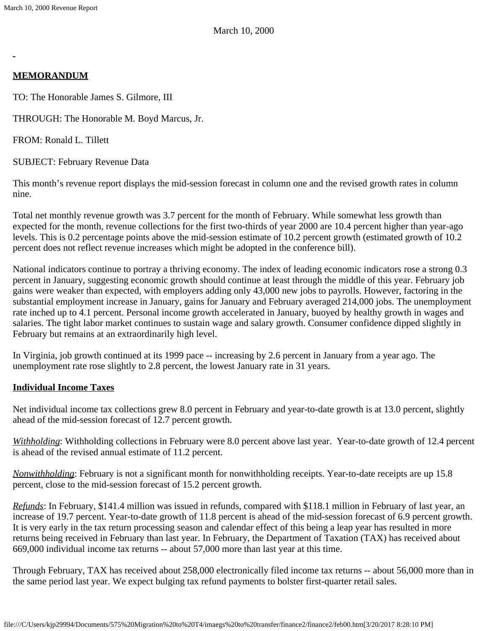# **MEMORANDUM**

TO: The Honorable James S. Gilmore, III

THROUGH: The Honorable M. Boyd Marcus, Jr.

FROM: Ronald L. Tillett

SUBJECT: February Revenue Data

This month's revenue report displays the mid-session forecast in column one and the revised growth rates in column nine.

Total net monthly revenue growth was 3.7 percent for the month of February. While somewhat less growth than expected for the month, revenue collections for the first two-thirds of year 2000 are 10.4 percent higher than year-ago levels. This is 0.2 percentage points above the mid-session estimate of 10.2 percent growth (estimated growth of 10.2 percent does not reflect revenue increases which might be adopted in the conference bill).

National indicators continue to portray a thriving economy. The index of leading economic indicators rose a strong 0.3 percent in January, suggesting economic growth should continue at least through the middle of this year. February job gains were weaker than expected, with employers adding only 43,000 new jobs to payrolls. However, factoring in the substantial employment increase in January, gains for January and February averaged 214,000 jobs. The unemployment rate inched up to 4.1 percent. Personal income growth accelerated in January, buoyed by healthy growth in wages and salaries. The tight labor market continues to sustain wage and salary growth. Consumer confidence dipped slightly in February but remains at an extraordinarily high level.

In Virginia, job growth continued at its 1999 pace -- increasing by 2.6 percent in January from a year ago. The unemployment rate rose slightly to 2.8 percent, the lowest January rate in 31 years.

# **Individual Income Taxes**

Net individual income tax collections grew 8.0 percent in February and year-to-date growth is at 13.0 percent, slightly ahead of the mid-session forecast of 12.7 percent growth.

*Withholding*: Withholding collections in February were 8.0 percent above last year. Year-to-date growth of 12.4 percent is ahead of the revised annual estimate of 11.2 percent.

*Nonwithholding*: February is not a significant month for nonwithholding receipts. Year-to-date receipts are up 15.8 percent, close to the mid-session forecast of 15.2 percent growth.

*Refunds*: In February, \$141.4 million was issued in refunds, compared with \$118.1 million in February of last year, an increase of 19.7 percent. Year-to-date growth of 11.8 percent is ahead of the mid-session forecast of 6.9 percent growth. It is very early in the tax return processing season and calendar effect of this being a leap year has resulted in more returns being received in February than last year. In February, the Department of Taxation (TAX) has received about 669,000 individual income tax returns -- about 57,000 more than last year at this time.

Through February, TAX has received about 258,000 electronically filed income tax returns -- about 56,000 more than in the same period last year. We expect bulging tax refund payments to bolster first-quarter retail sales.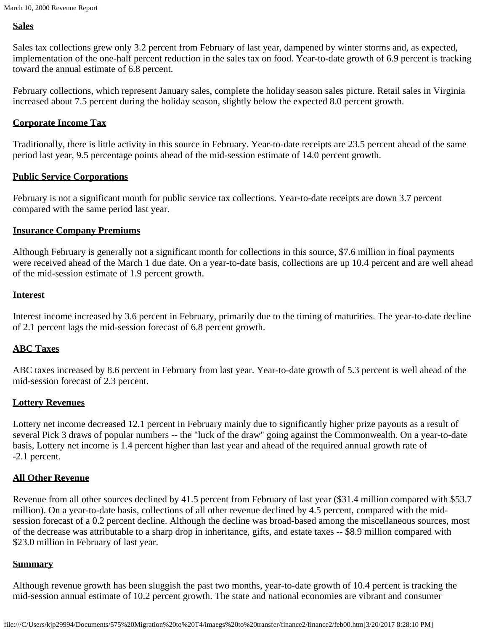# **Sales**

Sales tax collections grew only 3.2 percent from February of last year, dampened by winter storms and, as expected, implementation of the one-half percent reduction in the sales tax on food. Year-to-date growth of 6.9 percent is tracking toward the annual estimate of 6.8 percent.

February collections, which represent January sales, complete the holiday season sales picture. Retail sales in Virginia increased about 7.5 percent during the holiday season, slightly below the expected 8.0 percent growth.

## **Corporate Income Tax**

Traditionally, there is little activity in this source in February. Year-to-date receipts are 23.5 percent ahead of the same period last year, 9.5 percentage points ahead of the mid-session estimate of 14.0 percent growth.

### **Public Service Corporations**

February is not a significant month for public service tax collections. Year-to-date receipts are down 3.7 percent compared with the same period last year.

### **Insurance Company Premiums**

Although February is generally not a significant month for collections in this source, \$7.6 million in final payments were received ahead of the March 1 due date. On a year-to-date basis, collections are up 10.4 percent and are well ahead of the mid-session estimate of 1.9 percent growth.

## **Interest**

Interest income increased by 3.6 percent in February, primarily due to the timing of maturities. The year-to-date decline of 2.1 percent lags the mid-session forecast of 6.8 percent growth.

# **ABC Taxes**

ABC taxes increased by 8.6 percent in February from last year. Year-to-date growth of 5.3 percent is well ahead of the mid-session forecast of 2.3 percent.

# **Lottery Revenues**

Lottery net income decreased 12.1 percent in February mainly due to significantly higher prize payouts as a result of several Pick 3 draws of popular numbers -- the "luck of the draw" going against the Commonwealth. On a year-to-date basis, Lottery net income is 1.4 percent higher than last year and ahead of the required annual growth rate of -2.1 percent.

# **All Other Revenue**

Revenue from all other sources declined by 41.5 percent from February of last year (\$31.4 million compared with \$53.7 million). On a year-to-date basis, collections of all other revenue declined by 4.5 percent, compared with the midsession forecast of a 0.2 percent decline. Although the decline was broad-based among the miscellaneous sources, most of the decrease was attributable to a sharp drop in inheritance, gifts, and estate taxes -- \$8.9 million compared with \$23.0 million in February of last year.

### **Summary**

Although revenue growth has been sluggish the past two months, year-to-date growth of 10.4 percent is tracking the mid-session annual estimate of 10.2 percent growth. The state and national economies are vibrant and consumer